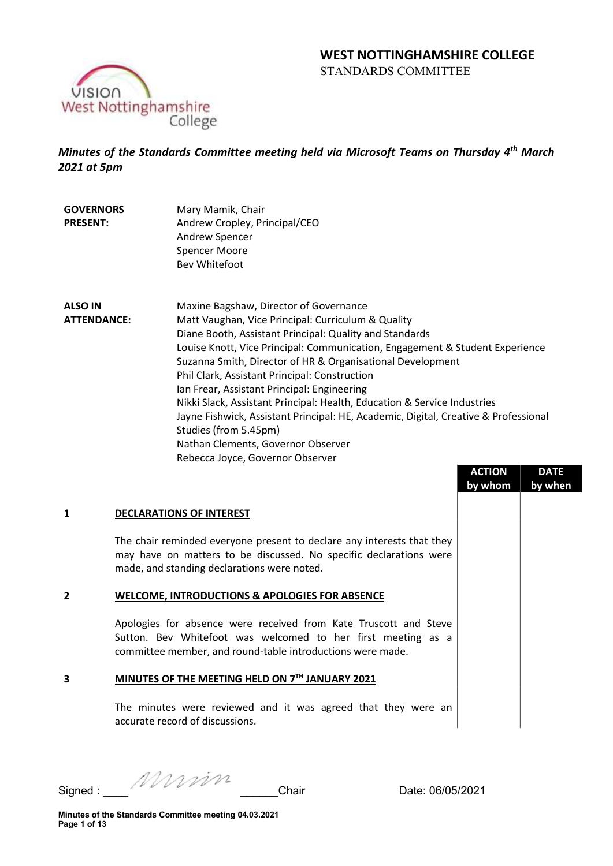# WEST NOTTINGHAMSHIRE COLLEGE STANDARDS COMMITTEE



Minutes of the Standards Committee meeting held via Microsoft Teams on Thursday 4<sup>th</sup> March 2021 at 5pm

- **GOVERNORS** PRESENT: Mary Mamik, Chair Andrew Cropley, Principal/CEO Andrew Spencer Spencer Moore Bev Whitefoot
- ALSO IN ATTENDANCE: Maxine Bagshaw, Director of Governance Matt Vaughan, Vice Principal: Curriculum & Quality Diane Booth, Assistant Principal: Quality and Standards Louise Knott, Vice Principal: Communication, Engagement & Student Experience Suzanna Smith, Director of HR & Organisational Development Phil Clark, Assistant Principal: Construction Ian Frear, Assistant Principal: Engineering Nikki Slack, Assistant Principal: Health, Education & Service Industries Jayne Fishwick, Assistant Principal: HE, Academic, Digital, Creative & Professional Studies (from 5.45pm) Nathan Clements, Governor Observer Rebecca Joyce, Governor Observer

|   |                                                                                                                                                                                                | <b>ACTION</b> | <b>DATE</b> |
|---|------------------------------------------------------------------------------------------------------------------------------------------------------------------------------------------------|---------------|-------------|
|   |                                                                                                                                                                                                | by whom       | by when     |
| 1 | <b>DECLARATIONS OF INTEREST</b>                                                                                                                                                                |               |             |
|   | The chair reminded everyone present to declare any interests that they<br>may have on matters to be discussed. No specific declarations were<br>made, and standing declarations were noted.    |               |             |
| 2 | <b>WELCOME, INTRODUCTIONS &amp; APOLOGIES FOR ABSENCE</b>                                                                                                                                      |               |             |
|   | Apologies for absence were received from Kate Truscott and Steve<br>Sutton. Bev Whitefoot was welcomed to her first meeting as a<br>committee member, and round-table introductions were made. |               |             |
| 3 | MINUTES OF THE MEETING HELD ON 7TH JANUARY 2021                                                                                                                                                |               |             |
|   | The minutes were reviewed and it was agreed that they were an<br>accurate record of discussions.                                                                                               |               |             |

Signed : \_\_\_\_ \_\_\_\_\_\_Chair Date: 06/05/2021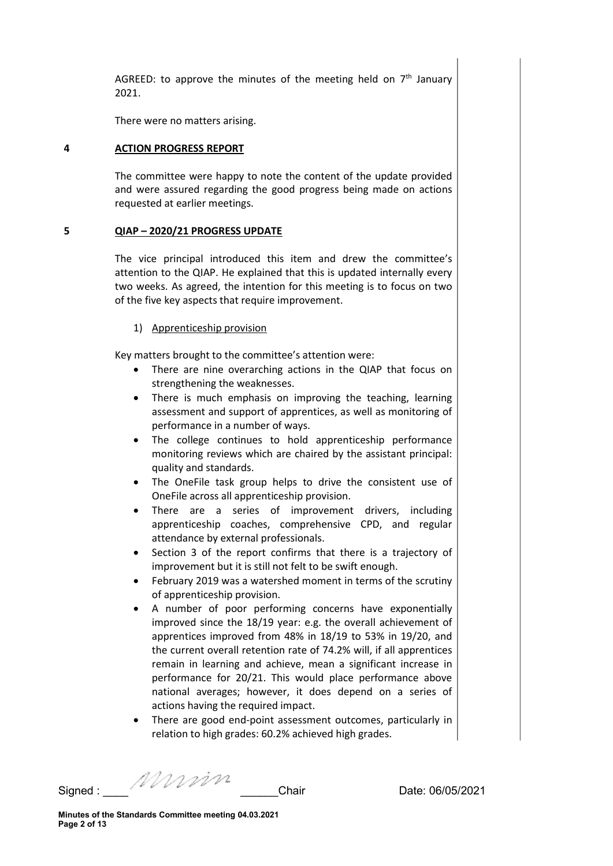AGREED: to approve the minutes of the meeting held on  $7<sup>th</sup>$  January 2021.

There were no matters arising.

# 4 ACTION PROGRESS REPORT

The committee were happy to note the content of the update provided and were assured regarding the good progress being made on actions requested at earlier meetings.

# 5 QIAP – 2020/21 PROGRESS UPDATE

The vice principal introduced this item and drew the committee's attention to the QIAP. He explained that this is updated internally every two weeks. As agreed, the intention for this meeting is to focus on two of the five key aspects that require improvement.

#### 1) Apprenticeship provision

Key matters brought to the committee's attention were:

- There are nine overarching actions in the QIAP that focus on strengthening the weaknesses.
- There is much emphasis on improving the teaching, learning assessment and support of apprentices, as well as monitoring of performance in a number of ways.
- The college continues to hold apprenticeship performance monitoring reviews which are chaired by the assistant principal: quality and standards.
- The OneFile task group helps to drive the consistent use of OneFile across all apprenticeship provision.
- There are a series of improvement drivers, including apprenticeship coaches, comprehensive CPD, and regular attendance by external professionals.
- Section 3 of the report confirms that there is a trajectory of improvement but it is still not felt to be swift enough.
- February 2019 was a watershed moment in terms of the scrutiny of apprenticeship provision.
- A number of poor performing concerns have exponentially improved since the 18/19 year: e.g. the overall achievement of apprentices improved from 48% in 18/19 to 53% in 19/20, and the current overall retention rate of 74.2% will, if all apprentices remain in learning and achieve, mean a significant increase in performance for 20/21. This would place performance above national averages; however, it does depend on a series of actions having the required impact.
- There are good end-point assessment outcomes, particularly in relation to high grades: 60.2% achieved high grades.

Signed : \_\_\_\_ \_\_\_\_\_\_Chair Date: 06/05/2021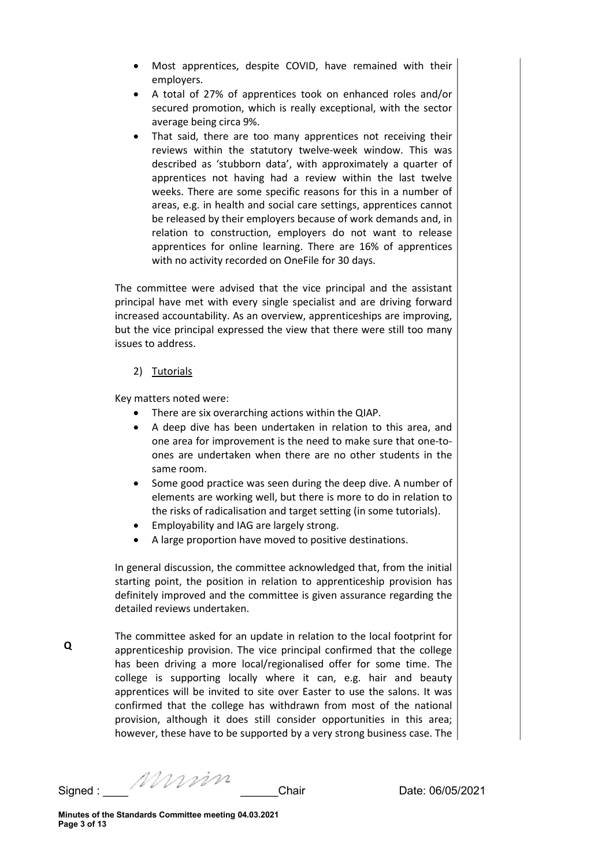- Most apprentices, despite COVID, have remained with their employers.
- A total of 27% of apprentices took on enhanced roles and/or secured promotion, which is really exceptional, with the sector average being circa 9%.
- That said, there are too many apprentices not receiving their reviews within the statutory twelve-week window. This was described as 'stubborn data', with approximately a quarter of apprentices not having had a review within the last twelve weeks. There are some specific reasons for this in a number of areas, e.g. in health and social care settings, apprentices cannot be released by their employers because of work demands and, in relation to construction, employers do not want to release apprentices for online learning. There are 16% of apprentices with no activity recorded on OneFile for 30 days.

The committee were advised that the vice principal and the assistant principal have met with every single specialist and are driving forward increased accountability. As an overview, apprenticeships are improving, but the vice principal expressed the view that there were still too many issues to address.

# 2) Tutorials

Key matters noted were:

- There are six overarching actions within the QIAP.
- A deep dive has been undertaken in relation to this area, and one area for improvement is the need to make sure that one-toones are undertaken when there are no other students in the same room.
- Some good practice was seen during the deep dive. A number of elements are working well, but there is more to do in relation to the risks of radicalisation and target setting (in some tutorials).
- Employability and IAG are largely strong.
- A large proportion have moved to positive destinations.

In general discussion, the committee acknowledged that, from the initial starting point, the position in relation to apprenticeship provision has definitely improved and the committee is given assurance regarding the detailed reviews undertaken.

The committee asked for an update in relation to the local footprint for apprenticeship provision. The vice principal confirmed that the college has been driving a more local/regionalised offer for some time. The college is supporting locally where it can, e.g. hair and beauty apprentices will be invited to site over Easter to use the salons. It was confirmed that the college has withdrawn from most of the national provision, although it does still consider opportunities in this area; however, these have to be supported by a very strong business case. The

Signed : \_\_\_\_ \_\_\_\_\_\_Chair Date: 06/05/2021

Q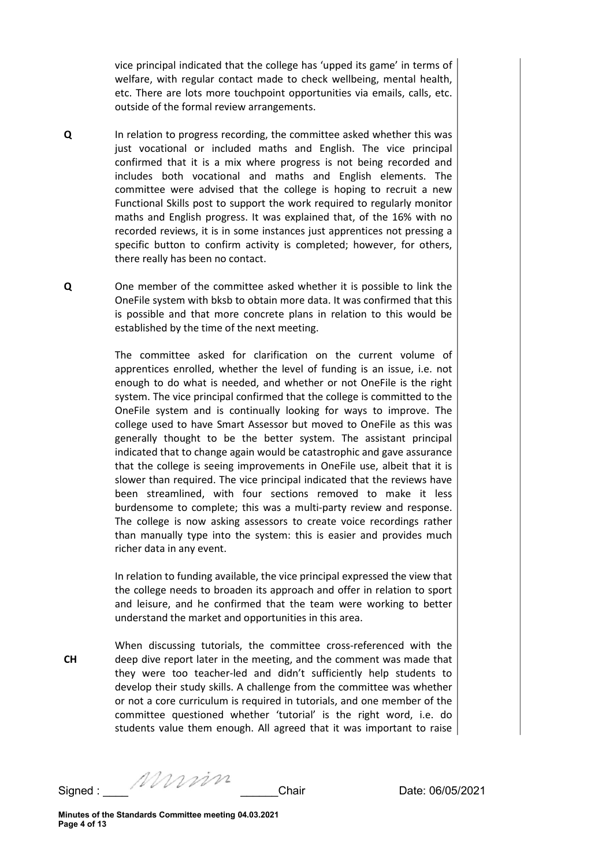vice principal indicated that the college has 'upped its game' in terms of welfare, with regular contact made to check wellbeing, mental health, etc. There are lots more touchpoint opportunities via emails, calls, etc. outside of the formal review arrangements.

- Q In relation to progress recording, the committee asked whether this was just vocational or included maths and English. The vice principal confirmed that it is a mix where progress is not being recorded and includes both vocational and maths and English elements. The committee were advised that the college is hoping to recruit a new Functional Skills post to support the work required to regularly monitor maths and English progress. It was explained that, of the 16% with no recorded reviews, it is in some instances just apprentices not pressing a specific button to confirm activity is completed; however, for others, there really has been no contact.
- Q One member of the committee asked whether it is possible to link the OneFile system with bksb to obtain more data. It was confirmed that this is possible and that more concrete plans in relation to this would be established by the time of the next meeting.

The committee asked for clarification on the current volume of apprentices enrolled, whether the level of funding is an issue, i.e. not enough to do what is needed, and whether or not OneFile is the right system. The vice principal confirmed that the college is committed to the OneFile system and is continually looking for ways to improve. The college used to have Smart Assessor but moved to OneFile as this was generally thought to be the better system. The assistant principal indicated that to change again would be catastrophic and gave assurance that the college is seeing improvements in OneFile use, albeit that it is slower than required. The vice principal indicated that the reviews have been streamlined, with four sections removed to make it less burdensome to complete; this was a multi-party review and response. The college is now asking assessors to create voice recordings rather than manually type into the system: this is easier and provides much richer data in any event.

In relation to funding available, the vice principal expressed the view that the college needs to broaden its approach and offer in relation to sport and leisure, and he confirmed that the team were working to better understand the market and opportunities in this area.

CH When discussing tutorials, the committee cross-referenced with the deep dive report later in the meeting, and the comment was made that they were too teacher-led and didn't sufficiently help students to develop their study skills. A challenge from the committee was whether or not a core curriculum is required in tutorials, and one member of the committee questioned whether 'tutorial' is the right word, i.e. do students value them enough. All agreed that it was important to raise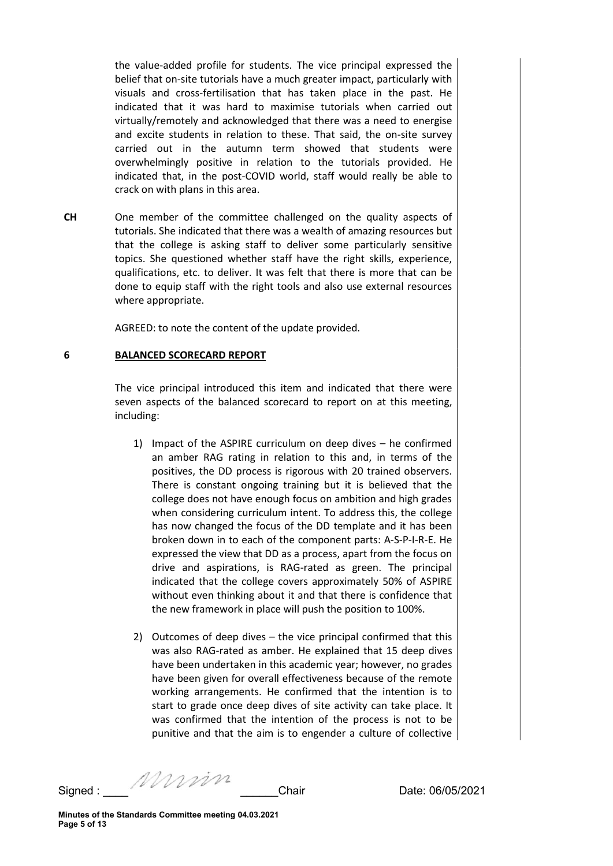the value-added profile for students. The vice principal expressed the belief that on-site tutorials have a much greater impact, particularly with visuals and cross-fertilisation that has taken place in the past. He indicated that it was hard to maximise tutorials when carried out virtually/remotely and acknowledged that there was a need to energise and excite students in relation to these. That said, the on-site survey carried out in the autumn term showed that students were overwhelmingly positive in relation to the tutorials provided. He indicated that, in the post-COVID world, staff would really be able to crack on with plans in this area.

CH One member of the committee challenged on the quality aspects of tutorials. She indicated that there was a wealth of amazing resources but that the college is asking staff to deliver some particularly sensitive topics. She questioned whether staff have the right skills, experience, qualifications, etc. to deliver. It was felt that there is more that can be done to equip staff with the right tools and also use external resources where appropriate.

AGREED: to note the content of the update provided.

#### 6 BALANCED SCORECARD REPORT

The vice principal introduced this item and indicated that there were seven aspects of the balanced scorecard to report on at this meeting, including:

- 1) Impact of the ASPIRE curriculum on deep dives he confirmed an amber RAG rating in relation to this and, in terms of the positives, the DD process is rigorous with 20 trained observers. There is constant ongoing training but it is believed that the college does not have enough focus on ambition and high grades when considering curriculum intent. To address this, the college has now changed the focus of the DD template and it has been broken down in to each of the component parts: A-S-P-I-R-E. He expressed the view that DD as a process, apart from the focus on drive and aspirations, is RAG-rated as green. The principal indicated that the college covers approximately 50% of ASPIRE without even thinking about it and that there is confidence that the new framework in place will push the position to 100%.
- 2) Outcomes of deep dives the vice principal confirmed that this was also RAG-rated as amber. He explained that 15 deep dives have been undertaken in this academic year; however, no grades have been given for overall effectiveness because of the remote working arrangements. He confirmed that the intention is to start to grade once deep dives of site activity can take place. It was confirmed that the intention of the process is not to be punitive and that the aim is to engender a culture of collective

Signed : \_\_\_\_ \_\_\_\_\_\_Chair Date: 06/05/2021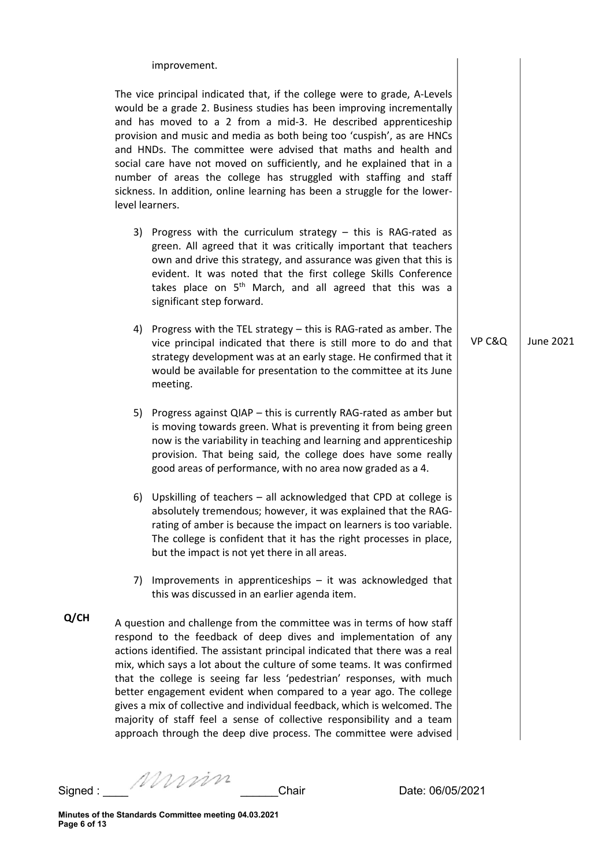improvement.

The vice principal indicated that, if the college were to grade, A-Levels would be a grade 2. Business studies has been improving incrementally and has moved to a 2 from a mid-3. He described apprenticeship provision and music and media as both being too 'cuspish', as are HNCs and HNDs. The committee were advised that maths and health and social care have not moved on sufficiently, and he explained that in a number of areas the college has struggled with staffing and staff sickness. In addition, online learning has been a struggle for the lowerlevel learners.

- 3) Progress with the curriculum strategy this is RAG-rated as green. All agreed that it was critically important that teachers own and drive this strategy, and assurance was given that this is evident. It was noted that the first college Skills Conference takes place on  $5<sup>th</sup>$  March, and all agreed that this was a significant step forward.
- 4) Progress with the TEL strategy this is RAG-rated as amber. The vice principal indicated that there is still more to do and that strategy development was at an early stage. He confirmed that it would be available for presentation to the committee at its June meeting.
- 5) Progress against QIAP this is currently RAG-rated as amber but is moving towards green. What is preventing it from being green now is the variability in teaching and learning and apprenticeship provision. That being said, the college does have some really good areas of performance, with no area now graded as a 4.
- 6) Upskilling of teachers all acknowledged that CPD at college is absolutely tremendous; however, it was explained that the RAGrating of amber is because the impact on learners is too variable. The college is confident that it has the right processes in place, but the impact is not yet there in all areas.
- 7) Improvements in apprenticeships it was acknowledged that this was discussed in an earlier agenda item.
- Q/CH A question and challenge from the committee was in terms of how staff respond to the feedback of deep dives and implementation of any actions identified. The assistant principal indicated that there was a real mix, which says a lot about the culture of some teams. It was confirmed that the college is seeing far less 'pedestrian' responses, with much better engagement evident when compared to a year ago. The college gives a mix of collective and individual feedback, which is welcomed. The majority of staff feel a sense of collective responsibility and a team approach through the deep dive process. The committee were advised

Signed : \_\_\_\_ \_\_\_\_\_\_Chair Date: 06/05/2021

 $VP C&Q$  June 2021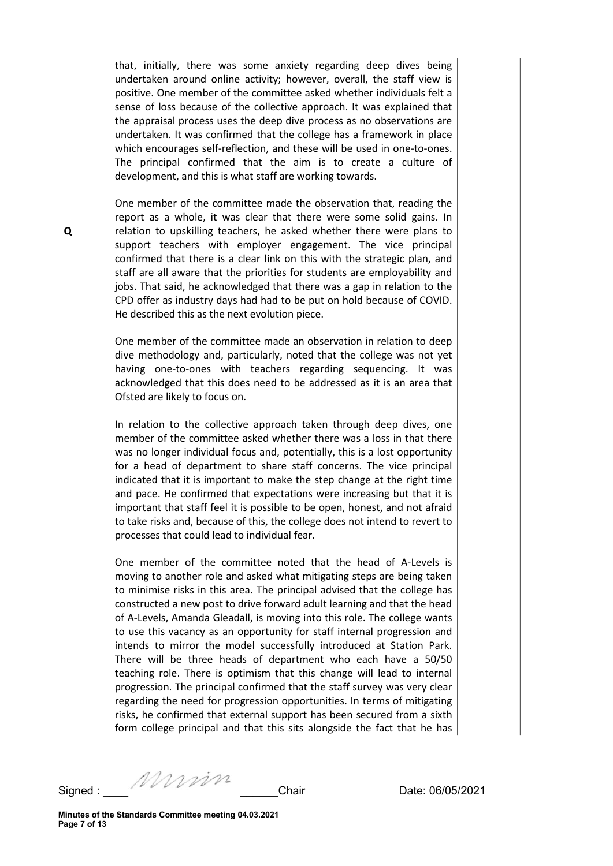that, initially, there was some anxiety regarding deep dives being undertaken around online activity; however, overall, the staff view is positive. One member of the committee asked whether individuals felt a sense of loss because of the collective approach. It was explained that the appraisal process uses the deep dive process as no observations are undertaken. It was confirmed that the college has a framework in place which encourages self-reflection, and these will be used in one-to-ones. The principal confirmed that the aim is to create a culture of development, and this is what staff are working towards.

One member of the committee made the observation that, reading the report as a whole, it was clear that there were some solid gains. In relation to upskilling teachers, he asked whether there were plans to support teachers with employer engagement. The vice principal confirmed that there is a clear link on this with the strategic plan, and staff are all aware that the priorities for students are employability and jobs. That said, he acknowledged that there was a gap in relation to the CPD offer as industry days had had to be put on hold because of COVID. He described this as the next evolution piece.

One member of the committee made an observation in relation to deep dive methodology and, particularly, noted that the college was not yet having one-to-ones with teachers regarding sequencing. It was acknowledged that this does need to be addressed as it is an area that Ofsted are likely to focus on.

In relation to the collective approach taken through deep dives, one member of the committee asked whether there was a loss in that there was no longer individual focus and, potentially, this is a lost opportunity for a head of department to share staff concerns. The vice principal indicated that it is important to make the step change at the right time and pace. He confirmed that expectations were increasing but that it is important that staff feel it is possible to be open, honest, and not afraid to take risks and, because of this, the college does not intend to revert to processes that could lead to individual fear.

One member of the committee noted that the head of A-Levels is moving to another role and asked what mitigating steps are being taken to minimise risks in this area. The principal advised that the college has constructed a new post to drive forward adult learning and that the head of A-Levels, Amanda Gleadall, is moving into this role. The college wants to use this vacancy as an opportunity for staff internal progression and intends to mirror the model successfully introduced at Station Park. There will be three heads of department who each have a 50/50 teaching role. There is optimism that this change will lead to internal progression. The principal confirmed that the staff survey was very clear regarding the need for progression opportunities. In terms of mitigating risks, he confirmed that external support has been secured from a sixth form college principal and that this sits alongside the fact that he has

Q

Signed : \_\_\_\_ \_\_\_\_\_\_Chair Date: 06/05/2021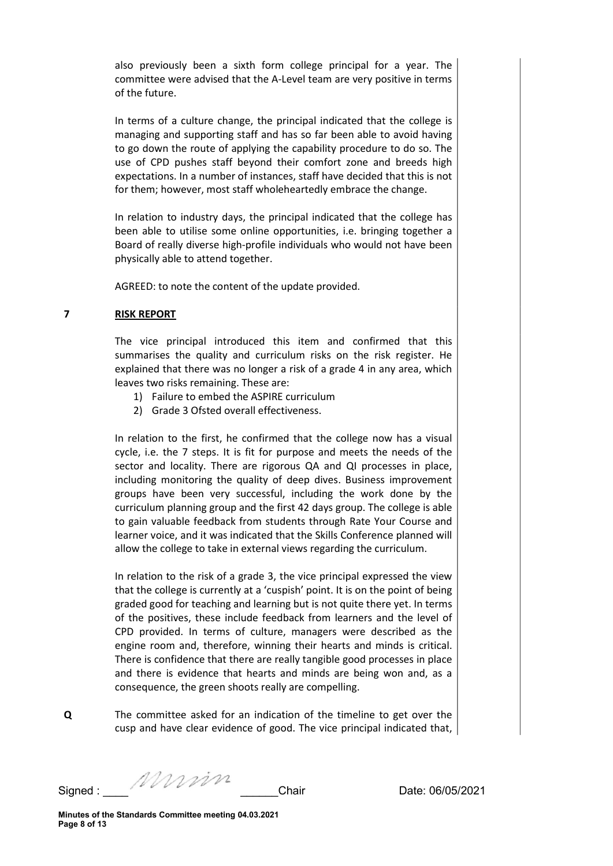also previously been a sixth form college principal for a year. The committee were advised that the A-Level team are very positive in terms of the future.

In terms of a culture change, the principal indicated that the college is managing and supporting staff and has so far been able to avoid having to go down the route of applying the capability procedure to do so. The use of CPD pushes staff beyond their comfort zone and breeds high expectations. In a number of instances, staff have decided that this is not for them; however, most staff wholeheartedly embrace the change.

In relation to industry days, the principal indicated that the college has been able to utilise some online opportunities, i.e. bringing together a Board of really diverse high-profile individuals who would not have been physically able to attend together.

AGREED: to note the content of the update provided.

# 7 RISK REPORT

The vice principal introduced this item and confirmed that this summarises the quality and curriculum risks on the risk register. He explained that there was no longer a risk of a grade 4 in any area, which leaves two risks remaining. These are:

- 1) Failure to embed the ASPIRE curriculum
- 2) Grade 3 Ofsted overall effectiveness.

In relation to the first, he confirmed that the college now has a visual cycle, i.e. the 7 steps. It is fit for purpose and meets the needs of the sector and locality. There are rigorous QA and QI processes in place, including monitoring the quality of deep dives. Business improvement groups have been very successful, including the work done by the curriculum planning group and the first 42 days group. The college is able to gain valuable feedback from students through Rate Your Course and learner voice, and it was indicated that the Skills Conference planned will allow the college to take in external views regarding the curriculum.

In relation to the risk of a grade 3, the vice principal expressed the view that the college is currently at a 'cuspish' point. It is on the point of being graded good for teaching and learning but is not quite there yet. In terms of the positives, these include feedback from learners and the level of CPD provided. In terms of culture, managers were described as the engine room and, therefore, winning their hearts and minds is critical. There is confidence that there are really tangible good processes in place and there is evidence that hearts and minds are being won and, as a consequence, the green shoots really are compelling.

Q The committee asked for an indication of the timeline to get over the cusp and have clear evidence of good. The vice principal indicated that,

Signed : \_\_\_\_ \_\_\_\_\_\_Chair Date: 06/05/2021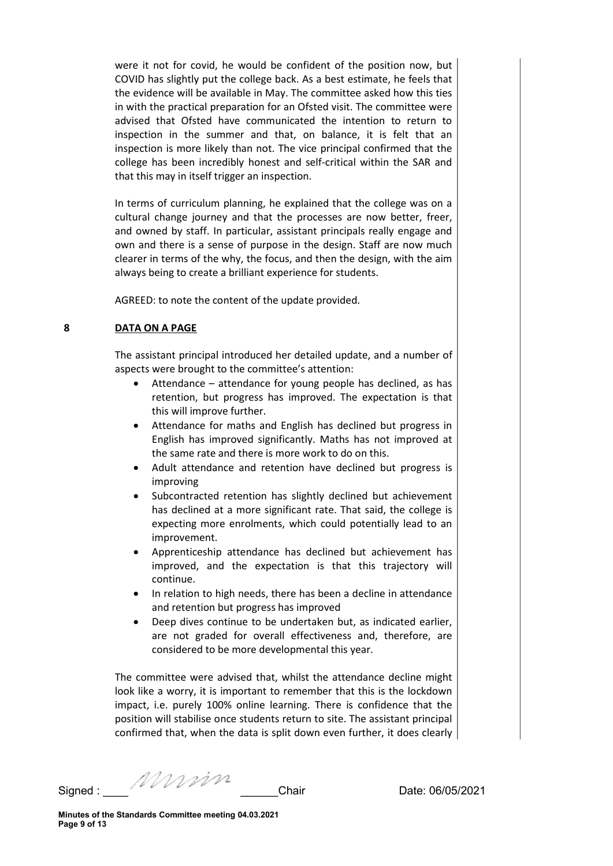were it not for covid, he would be confident of the position now, but COVID has slightly put the college back. As a best estimate, he feels that the evidence will be available in May. The committee asked how this ties in with the practical preparation for an Ofsted visit. The committee were advised that Ofsted have communicated the intention to return to inspection in the summer and that, on balance, it is felt that an inspection is more likely than not. The vice principal confirmed that the college has been incredibly honest and self-critical within the SAR and that this may in itself trigger an inspection.

In terms of curriculum planning, he explained that the college was on a cultural change journey and that the processes are now better, freer, and owned by staff. In particular, assistant principals really engage and own and there is a sense of purpose in the design. Staff are now much clearer in terms of the why, the focus, and then the design, with the aim always being to create a brilliant experience for students.

AGREED: to note the content of the update provided.

# 8 DATA ON A PAGE

The assistant principal introduced her detailed update, and a number of aspects were brought to the committee's attention:

- Attendance attendance for young people has declined, as has retention, but progress has improved. The expectation is that this will improve further.
- Attendance for maths and English has declined but progress in English has improved significantly. Maths has not improved at the same rate and there is more work to do on this.
- Adult attendance and retention have declined but progress is improving
- Subcontracted retention has slightly declined but achievement has declined at a more significant rate. That said, the college is expecting more enrolments, which could potentially lead to an improvement.
- Apprenticeship attendance has declined but achievement has improved, and the expectation is that this trajectory will continue.
- In relation to high needs, there has been a decline in attendance and retention but progress has improved
- Deep dives continue to be undertaken but, as indicated earlier, are not graded for overall effectiveness and, therefore, are considered to be more developmental this year.

The committee were advised that, whilst the attendance decline might look like a worry, it is important to remember that this is the lockdown impact, i.e. purely 100% online learning. There is confidence that the position will stabilise once students return to site. The assistant principal confirmed that, when the data is split down even further, it does clearly

Signed : \_\_\_\_ \_\_\_\_\_\_Chair Date: 06/05/2021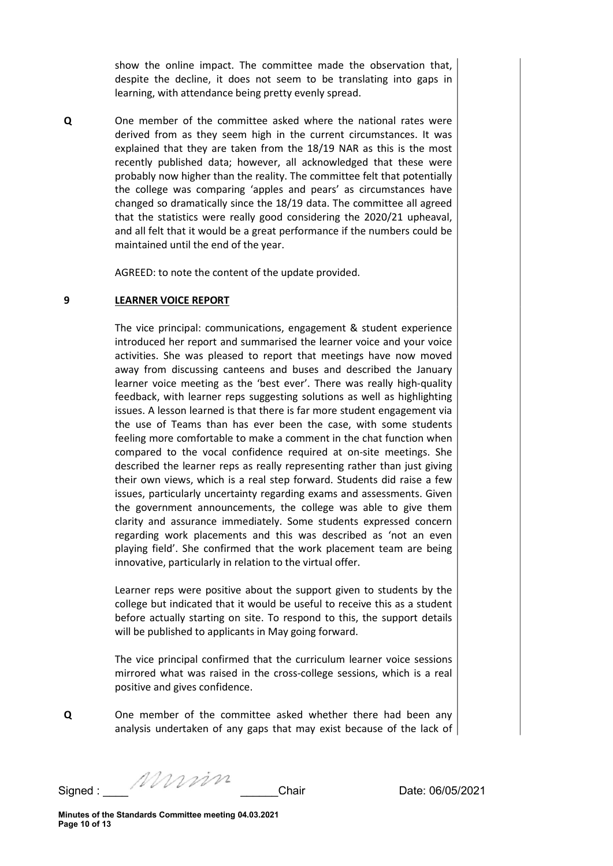show the online impact. The committee made the observation that, despite the decline, it does not seem to be translating into gaps in learning, with attendance being pretty evenly spread.

Q One member of the committee asked where the national rates were derived from as they seem high in the current circumstances. It was explained that they are taken from the 18/19 NAR as this is the most recently published data; however, all acknowledged that these were probably now higher than the reality. The committee felt that potentially the college was comparing 'apples and pears' as circumstances have changed so dramatically since the 18/19 data. The committee all agreed that the statistics were really good considering the 2020/21 upheaval, and all felt that it would be a great performance if the numbers could be maintained until the end of the year.

AGREED: to note the content of the update provided.

# 9 LEARNER VOICE REPORT

The vice principal: communications, engagement & student experience introduced her report and summarised the learner voice and your voice activities. She was pleased to report that meetings have now moved away from discussing canteens and buses and described the January learner voice meeting as the 'best ever'. There was really high-quality feedback, with learner reps suggesting solutions as well as highlighting issues. A lesson learned is that there is far more student engagement via the use of Teams than has ever been the case, with some students feeling more comfortable to make a comment in the chat function when compared to the vocal confidence required at on-site meetings. She described the learner reps as really representing rather than just giving their own views, which is a real step forward. Students did raise a few issues, particularly uncertainty regarding exams and assessments. Given the government announcements, the college was able to give them clarity and assurance immediately. Some students expressed concern regarding work placements and this was described as 'not an even playing field'. She confirmed that the work placement team are being innovative, particularly in relation to the virtual offer.

Learner reps were positive about the support given to students by the college but indicated that it would be useful to receive this as a student before actually starting on site. To respond to this, the support details will be published to applicants in May going forward.

The vice principal confirmed that the curriculum learner voice sessions mirrored what was raised in the cross-college sessions, which is a real positive and gives confidence.

Q One member of the committee asked whether there had been any analysis undertaken of any gaps that may exist because of the lack of

Signed : \_\_\_\_ \_\_\_\_\_\_Chair Date: 06/05/2021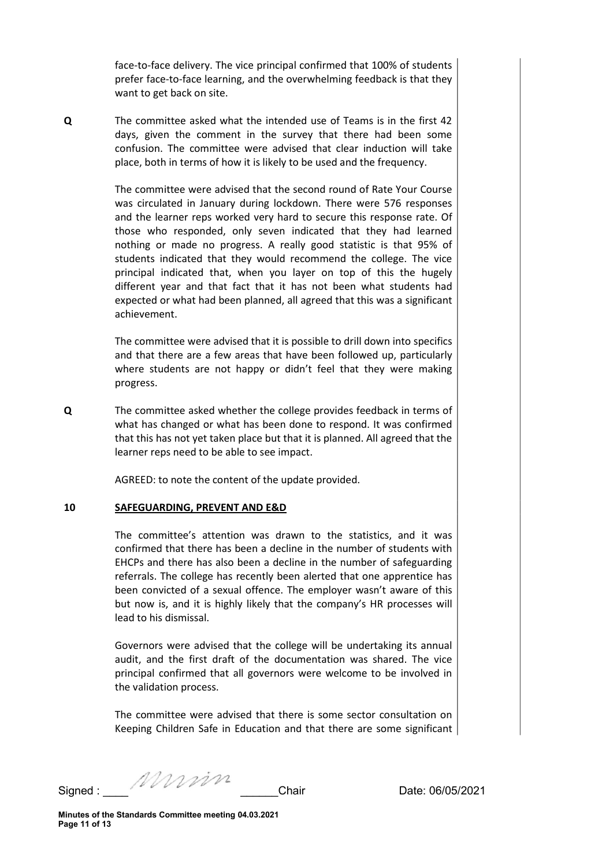face-to-face delivery. The vice principal confirmed that 100% of students prefer face-to-face learning, and the overwhelming feedback is that they want to get back on site.

Q The committee asked what the intended use of Teams is in the first 42 days, given the comment in the survey that there had been some confusion. The committee were advised that clear induction will take place, both in terms of how it is likely to be used and the frequency.

> The committee were advised that the second round of Rate Your Course was circulated in January during lockdown. There were 576 responses and the learner reps worked very hard to secure this response rate. Of those who responded, only seven indicated that they had learned nothing or made no progress. A really good statistic is that 95% of students indicated that they would recommend the college. The vice principal indicated that, when you layer on top of this the hugely different year and that fact that it has not been what students had expected or what had been planned, all agreed that this was a significant achievement.

> The committee were advised that it is possible to drill down into specifics and that there are a few areas that have been followed up, particularly where students are not happy or didn't feel that they were making progress.

Q The committee asked whether the college provides feedback in terms of what has changed or what has been done to respond. It was confirmed that this has not yet taken place but that it is planned. All agreed that the learner reps need to be able to see impact.

AGREED: to note the content of the update provided.

#### 10 SAFEGUARDING, PREVENT AND E&D

The committee's attention was drawn to the statistics, and it was confirmed that there has been a decline in the number of students with EHCPs and there has also been a decline in the number of safeguarding referrals. The college has recently been alerted that one apprentice has been convicted of a sexual offence. The employer wasn't aware of this but now is, and it is highly likely that the company's HR processes will lead to his dismissal.

Governors were advised that the college will be undertaking its annual audit, and the first draft of the documentation was shared. The vice principal confirmed that all governors were welcome to be involved in the validation process.

The committee were advised that there is some sector consultation on Keeping Children Safe in Education and that there are some significant

Signed : \_\_\_\_ \_\_\_\_\_\_Chair Date: 06/05/2021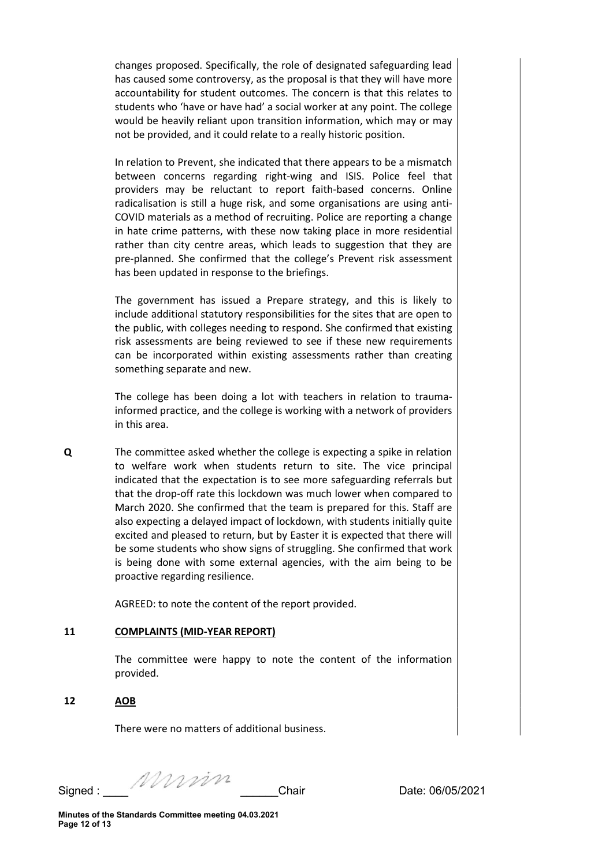changes proposed. Specifically, the role of designated safeguarding lead has caused some controversy, as the proposal is that they will have more accountability for student outcomes. The concern is that this relates to students who 'have or have had' a social worker at any point. The college would be heavily reliant upon transition information, which may or may not be provided, and it could relate to a really historic position.

In relation to Prevent, she indicated that there appears to be a mismatch between concerns regarding right-wing and ISIS. Police feel that providers may be reluctant to report faith-based concerns. Online radicalisation is still a huge risk, and some organisations are using anti-COVID materials as a method of recruiting. Police are reporting a change in hate crime patterns, with these now taking place in more residential rather than city centre areas, which leads to suggestion that they are pre-planned. She confirmed that the college's Prevent risk assessment has been updated in response to the briefings.

The government has issued a Prepare strategy, and this is likely to include additional statutory responsibilities for the sites that are open to the public, with colleges needing to respond. She confirmed that existing risk assessments are being reviewed to see if these new requirements can be incorporated within existing assessments rather than creating something separate and new.

The college has been doing a lot with teachers in relation to traumainformed practice, and the college is working with a network of providers in this area.

Q The committee asked whether the college is expecting a spike in relation to welfare work when students return to site. The vice principal indicated that the expectation is to see more safeguarding referrals but that the drop-off rate this lockdown was much lower when compared to March 2020. She confirmed that the team is prepared for this. Staff are also expecting a delayed impact of lockdown, with students initially quite excited and pleased to return, but by Easter it is expected that there will be some students who show signs of struggling. She confirmed that work is being done with some external agencies, with the aim being to be proactive regarding resilience.

AGREED: to note the content of the report provided.

# 11 COMPLAINTS (MID-YEAR REPORT)

The committee were happy to note the content of the information provided.

#### 12 AOB

There were no matters of additional business.

Signed : \_\_\_\_ \_\_\_\_\_\_Chair Date: 06/05/2021